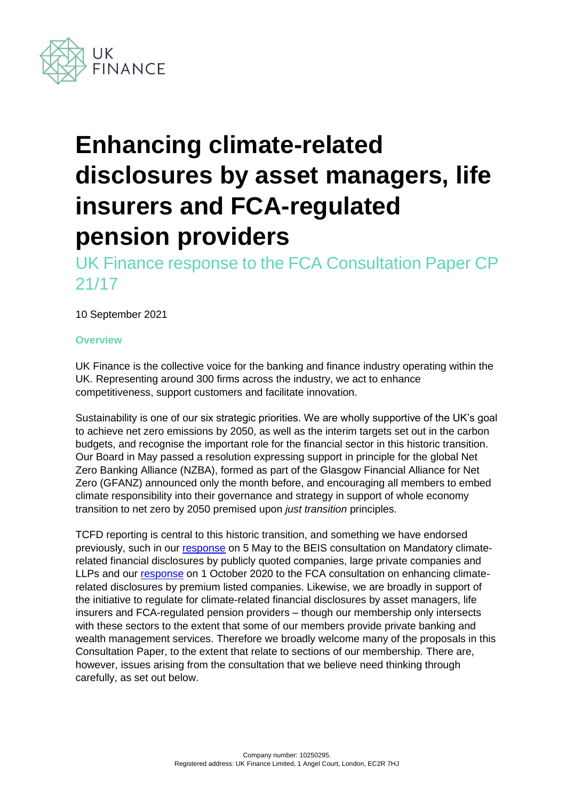

# **Enhancing climate-related disclosures by asset managers, life insurers and FCA-regulated pension providers**

UK Finance response to the FCA Consultation Paper CP 21/17

10 September 2021

# **Overview**

UK Finance is the collective voice for the banking and finance industry operating within the UK. Representing around 300 firms across the industry, we act to enhance competitiveness, support customers and facilitate innovation.

Sustainability is one of our six strategic priorities. We are wholly supportive of the UK's goal to achieve net zero emissions by 2050, as well as the interim targets set out in the carbon budgets, and recognise the important role for the financial sector in this historic transition. Our Board in May passed a resolution expressing support in principle for the global Net Zero Banking Alliance (NZBA), formed as part of the Glasgow Financial Alliance for Net Zero (GFANZ) announced only the month before, and encouraging all members to embed climate responsibility into their governance and strategy in support of whole economy transition to net zero by 2050 premised upon *just transition* principles.

TCFD reporting is central to this historic transition, and something we have endorsed previously, such in our [response](https://www.ukfinance.org.uk/policy-and-guidance/consultation-responses/uk-finance-submission-beis-climate-consultation-5-may) on 5 May to the BEIS consultation on Mandatory climaterelated financial disclosures by publicly quoted companies, large private companies and LLPs and our [response](https://www.ukfinance.org.uk/system/files/FCA%20CP20%203%20UKF%201%20October%20response.pdf) on 1 October 2020 to the FCA consultation on enhancing climaterelated disclosures by premium listed companies. Likewise, we are broadly in support of the initiative to regulate for climate-related financial disclosures by asset managers, life insurers and FCA-regulated pension providers – though our membership only intersects with these sectors to the extent that some of our members provide private banking and wealth management services. Therefore we broadly welcome many of the proposals in this Consultation Paper, to the extent that relate to sections of our membership. There are, however, issues arising from the consultation that we believe need thinking through carefully, as set out below.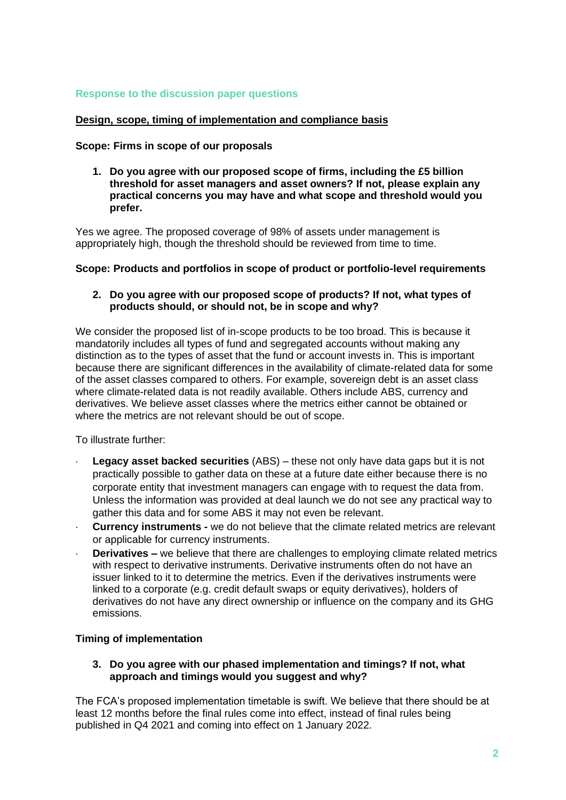# **Response to the discussion paper questions**

# **Design, scope, timing of implementation and compliance basis**

### **Scope: Firms in scope of our proposals**

**1. Do you agree with our proposed scope of firms, including the £5 billion threshold for asset managers and asset owners? If not, please explain any practical concerns you may have and what scope and threshold would you prefer.**

Yes we agree. The proposed coverage of 98% of assets under management is appropriately high, though the threshold should be reviewed from time to time.

### **Scope: Products and portfolios in scope of product or portfolio-level requirements**

# **2. Do you agree with our proposed scope of products? If not, what types of products should, or should not, be in scope and why?**

We consider the proposed list of in-scope products to be too broad. This is because it mandatorily includes all types of fund and segregated accounts without making any distinction as to the types of asset that the fund or account invests in. This is important because there are significant differences in the availability of climate-related data for some of the asset classes compared to others. For example, sovereign debt is an asset class where climate-related data is not readily available. Others include ABS, currency and derivatives. We believe asset classes where the metrics either cannot be obtained or where the metrics are not relevant should be out of scope.

To illustrate further:

- **Legacy asset backed securities** (ABS) these not only have data gaps but it is not practically possible to gather data on these at a future date either because there is no corporate entity that investment managers can engage with to request the data from. Unless the information was provided at deal launch we do not see any practical way to gather this data and for some ABS it may not even be relevant.
- **Currency instruments -** we do not believe that the climate related metrics are relevant or applicable for currency instruments.
- **Derivatives –** we believe that there are challenges to employing climate related metrics with respect to derivative instruments. Derivative instruments often do not have an issuer linked to it to determine the metrics. Even if the derivatives instruments were linked to a corporate (e.g. credit default swaps or equity derivatives), holders of derivatives do not have any direct ownership or influence on the company and its GHG emissions.

# **Timing of implementation**

# **3. Do you agree with our phased implementation and timings? If not, what approach and timings would you suggest and why?**

The FCA's proposed implementation timetable is swift. We believe that there should be at least 12 months before the final rules come into effect, instead of final rules being published in Q4 2021 and coming into effect on 1 January 2022.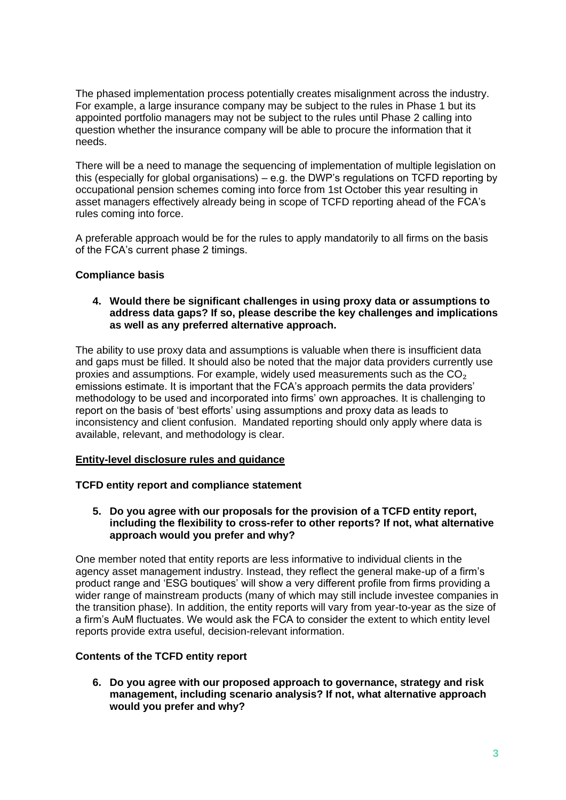The phased implementation process potentially creates misalignment across the industry. For example, a large insurance company may be subject to the rules in Phase 1 but its appointed portfolio managers may not be subject to the rules until Phase 2 calling into question whether the insurance company will be able to procure the information that it needs.

There will be a need to manage the sequencing of implementation of multiple legislation on this (especially for global organisations) – e.g. the DWP's regulations on TCFD reporting by occupational pension schemes coming into force from 1st October this year resulting in asset managers effectively already being in scope of TCFD reporting ahead of the FCA's rules coming into force.

A preferable approach would be for the rules to apply mandatorily to all firms on the basis of the FCA's current phase 2 timings.

# **Compliance basis**

## **4. Would there be significant challenges in using proxy data or assumptions to address data gaps? If so, please describe the key challenges and implications as well as any preferred alternative approach.**

The ability to use proxy data and assumptions is valuable when there is insufficient data and gaps must be filled. It should also be noted that the major data providers currently use proxies and assumptions. For example, widely used measurements such as the  $CO<sub>2</sub>$ emissions estimate. It is important that the FCA's approach permits the data providers' methodology to be used and incorporated into firms' own approaches. It is challenging to report on the basis of 'best efforts' using assumptions and proxy data as leads to inconsistency and client confusion. Mandated reporting should only apply where data is available, relevant, and methodology is clear.

# **Entity-level disclosure rules and guidance**

# **TCFD entity report and compliance statement**

**5. Do you agree with our proposals for the provision of a TCFD entity report, including the flexibility to cross-refer to other reports? If not, what alternative approach would you prefer and why?**

One member noted that entity reports are less informative to individual clients in the agency asset management industry. Instead, they reflect the general make-up of a firm's product range and 'ESG boutiques' will show a very different profile from firms providing a wider range of mainstream products (many of which may still include investee companies in the transition phase). In addition, the entity reports will vary from year-to-year as the size of a firm's AuM fluctuates. We would ask the FCA to consider the extent to which entity level reports provide extra useful, decision-relevant information.

# **Contents of the TCFD entity report**

**6. Do you agree with our proposed approach to governance, strategy and risk management, including scenario analysis? If not, what alternative approach would you prefer and why?**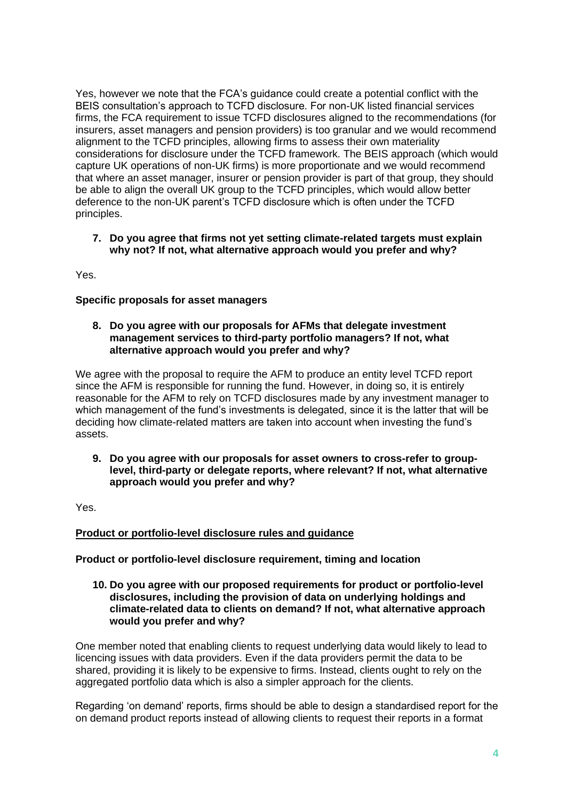Yes, however we note that the FCA's guidance could create a potential conflict with the BEIS consultation's approach to TCFD disclosure. For non-UK listed financial services firms, the FCA requirement to issue TCFD disclosures aligned to the recommendations (for insurers, asset managers and pension providers) is too granular and we would recommend alignment to the TCFD principles, allowing firms to assess their own materiality considerations for disclosure under the TCFD framework. The BEIS approach (which would capture UK operations of non-UK firms) is more proportionate and we would recommend that where an asset manager, insurer or pension provider is part of that group, they should be able to align the overall UK group to the TCFD principles, which would allow better deference to the non-UK parent's TCFD disclosure which is often under the TCFD principles.

# **7. Do you agree that firms not yet setting climate-related targets must explain why not? If not, what alternative approach would you prefer and why?**

Yes.

# **Specific proposals for asset managers**

## **8. Do you agree with our proposals for AFMs that delegate investment management services to third-party portfolio managers? If not, what alternative approach would you prefer and why?**

We agree with the proposal to require the AFM to produce an entity level TCFD report since the AFM is responsible for running the fund. However, in doing so, it is entirely reasonable for the AFM to rely on TCFD disclosures made by any investment manager to which management of the fund's investments is delegated, since it is the latter that will be deciding how climate-related matters are taken into account when investing the fund's assets.

**9. Do you agree with our proposals for asset owners to cross-refer to grouplevel, third-party or delegate reports, where relevant? If not, what alternative approach would you prefer and why?**

Yes.

# **Product or portfolio-level disclosure rules and guidance**

# **Product or portfolio-level disclosure requirement, timing and location**

**10. Do you agree with our proposed requirements for product or portfolio-level disclosures, including the provision of data on underlying holdings and climate-related data to clients on demand? If not, what alternative approach would you prefer and why?**

One member noted that enabling clients to request underlying data would likely to lead to licencing issues with data providers. Even if the data providers permit the data to be shared, providing it is likely to be expensive to firms. Instead, clients ought to rely on the aggregated portfolio data which is also a simpler approach for the clients.

Regarding 'on demand' reports, firms should be able to design a standardised report for the on demand product reports instead of allowing clients to request their reports in a format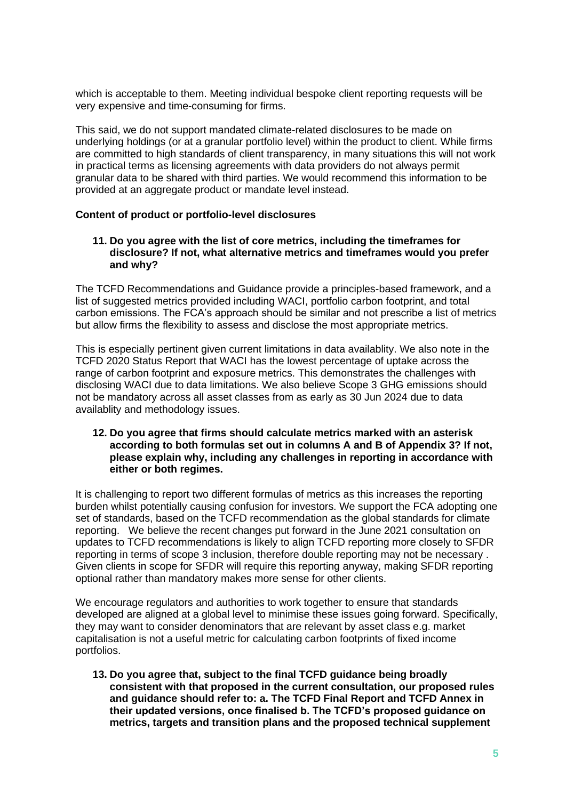which is acceptable to them. Meeting individual bespoke client reporting requests will be very expensive and time-consuming for firms.

This said, we do not support mandated climate-related disclosures to be made on underlying holdings (or at a granular portfolio level) within the product to client. While firms are committed to high standards of client transparency, in many situations this will not work in practical terms as licensing agreements with data providers do not always permit granular data to be shared with third parties. We would recommend this information to be provided at an aggregate product or mandate level instead.

### **Content of product or portfolio-level disclosures**

#### **11. Do you agree with the list of core metrics, including the timeframes for disclosure? If not, what alternative metrics and timeframes would you prefer and why?**

The TCFD Recommendations and Guidance provide a principles-based framework, and a list of suggested metrics provided including WACI, portfolio carbon footprint, and total carbon emissions. The FCA's approach should be similar and not prescribe a list of metrics but allow firms the flexibility to assess and disclose the most appropriate metrics.

This is especially pertinent given current limitations in data availablity. We also note in the TCFD 2020 Status Report that WACI has the lowest percentage of uptake across the range of carbon footprint and exposure metrics. This demonstrates the challenges with disclosing WACI due to data limitations. We also believe Scope 3 GHG emissions should not be mandatory across all asset classes from as early as 30 Jun 2024 due to data availablity and methodology issues.

### **12. Do you agree that firms should calculate metrics marked with an asterisk according to both formulas set out in columns A and B of Appendix 3? If not, please explain why, including any challenges in reporting in accordance with either or both regimes.**

It is challenging to report two different formulas of metrics as this increases the reporting burden whilst potentially causing confusion for investors. We support the FCA adopting one set of standards, based on the TCFD recommendation as the global standards for climate reporting. We believe the recent changes put forward in the June 2021 consultation on updates to TCFD recommendations is likely to align TCFD reporting more closely to SFDR reporting in terms of scope 3 inclusion, therefore double reporting may not be necessary . Given clients in scope for SFDR will require this reporting anyway, making SFDR reporting optional rather than mandatory makes more sense for other clients.

We encourage regulators and authorities to work together to ensure that standards developed are aligned at a global level to minimise these issues going forward. Specifically, they may want to consider denominators that are relevant by asset class e.g. market capitalisation is not a useful metric for calculating carbon footprints of fixed income portfolios.

**13. Do you agree that, subject to the final TCFD guidance being broadly consistent with that proposed in the current consultation, our proposed rules and guidance should refer to: a. The TCFD Final Report and TCFD Annex in their updated versions, once finalised b. The TCFD's proposed guidance on metrics, targets and transition plans and the proposed technical supplement**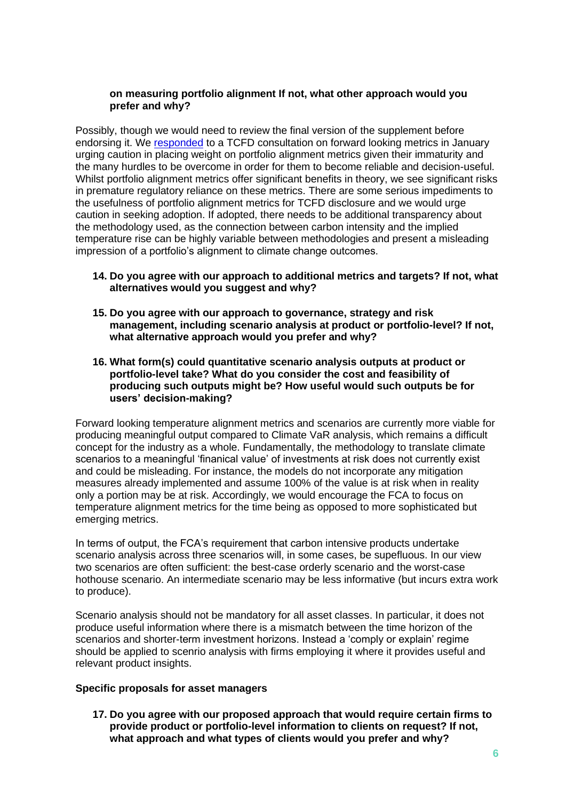## **on measuring portfolio alignment If not, what other approach would you prefer and why?**

Possibly, though we would need to review the final version of the supplement before endorsing it. We [responded](https://www.ukfinance.org.uk/policy-and-guidance/consultation-responses/uk-finance-response-tcfd-consultation-forward-looking-metrics) to a TCFD consultation on forward looking metrics in January urging caution in placing weight on portfolio alignment metrics given their immaturity and the many hurdles to be overcome in order for them to become reliable and decision-useful. Whilst portfolio alignment metrics offer significant benefits in theory, we see significant risks in premature regulatory reliance on these metrics. There are some serious impediments to the usefulness of portfolio alignment metrics for TCFD disclosure and we would urge caution in seeking adoption. If adopted, there needs to be additional transparency about the methodology used, as the connection between carbon intensity and the implied temperature rise can be highly variable between methodologies and present a misleading impression of a portfolio's alignment to climate change outcomes.

### **14. Do you agree with our approach to additional metrics and targets? If not, what alternatives would you suggest and why?**

- **15. Do you agree with our approach to governance, strategy and risk management, including scenario analysis at product or portfolio-level? If not, what alternative approach would you prefer and why?**
- **16. What form(s) could quantitative scenario analysis outputs at product or portfolio-level take? What do you consider the cost and feasibility of producing such outputs might be? How useful would such outputs be for users' decision-making?**

Forward looking temperature alignment metrics and scenarios are currently more viable for producing meaningful output compared to Climate VaR analysis, which remains a difficult concept for the industry as a whole. Fundamentally, the methodology to translate climate scenarios to a meaningful 'finanical value' of investments at risk does not currently exist and could be misleading. For instance, the models do not incorporate any mitigation measures already implemented and assume 100% of the value is at risk when in reality only a portion may be at risk. Accordingly, we would encourage the FCA to focus on temperature alignment metrics for the time being as opposed to more sophisticated but emerging metrics.

In terms of output, the FCA's requirement that carbon intensive products undertake scenario analysis across three scenarios will, in some cases, be supefluous. In our view two scenarios are often sufficient: the best-case orderly scenario and the worst-case hothouse scenario. An intermediate scenario may be less informative (but incurs extra work to produce).

Scenario analysis should not be mandatory for all asset classes. In particular, it does not produce useful information where there is a mismatch between the time horizon of the scenarios and shorter-term investment horizons. Instead a 'comply or explain' regime should be applied to scenrio analysis with firms employing it where it provides useful and relevant product insights.

# **Specific proposals for asset managers**

**17. Do you agree with our proposed approach that would require certain firms to provide product or portfolio-level information to clients on request? If not, what approach and what types of clients would you prefer and why?**